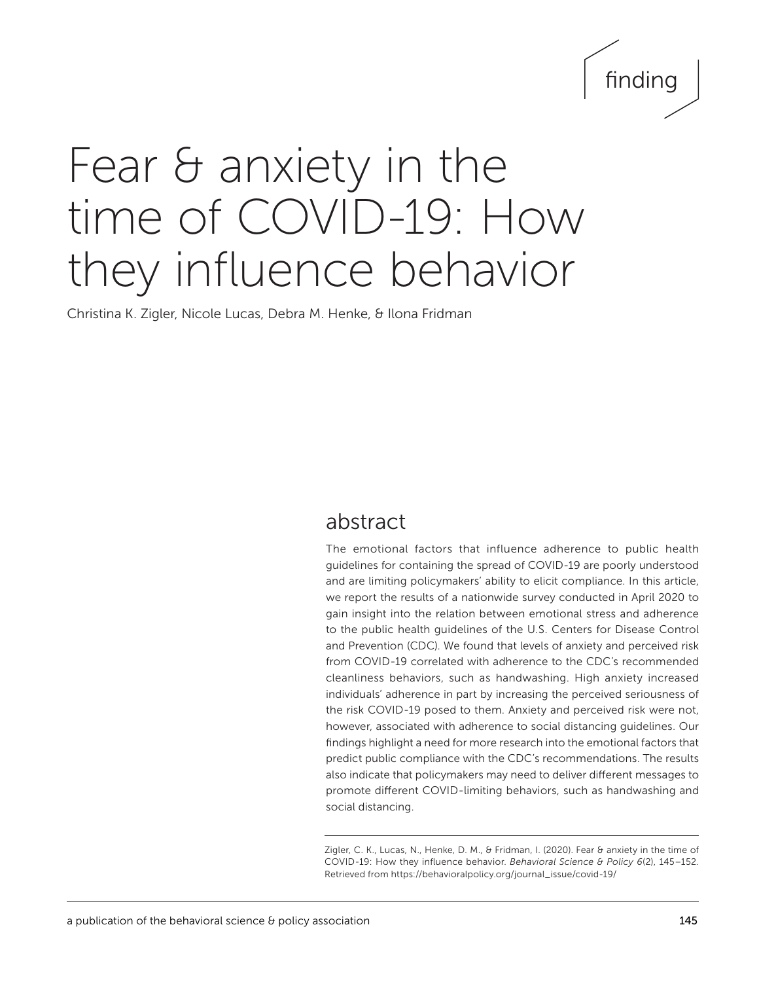# finding

## Fear & anxiety in the time of COVID-19: How they influence behavior

Christina K. Zigler, Nicole Lucas, Debra M. Henke, & Ilona Fridman

### abstract

The emotional factors that influence adherence to public health guidelines for containing the spread of COVID-19 are poorly understood and are limiting policymakers' ability to elicit compliance. In this article, we report the results of a nationwide survey conducted in April 2020 to gain insight into the relation between emotional stress and adherence to the public health guidelines of the U.S. Centers for Disease Control and Prevention (CDC). We found that levels of anxiety and perceived risk from COVID-19 correlated with adherence to the CDC's recommended cleanliness behaviors, such as handwashing. High anxiety increased individuals' adherence in part by increasing the perceived seriousness of the risk COVID-19 posed to them. Anxiety and perceived risk were not, however, associated with adherence to social distancing guidelines. Our findings highlight a need for more research into the emotional factors that predict public compliance with the CDC's recommendations. The results also indicate that policymakers may need to deliver different messages to promote different COVID-limiting behaviors, such as handwashing and social distancing.

Zigler, C. K., Lucas, N., Henke, D. M., & Fridman, I. (2020). Fear & anxiety in the time of COVID-19: How they influence behavior. *Behavioral Science & Policy 6*(2), 145–152*.*  Retrieved from [https://behavioralpolicy.org/journal\\_issue/covid-19/](https://behavioralpolicy.org/journal_issue/covid-19/)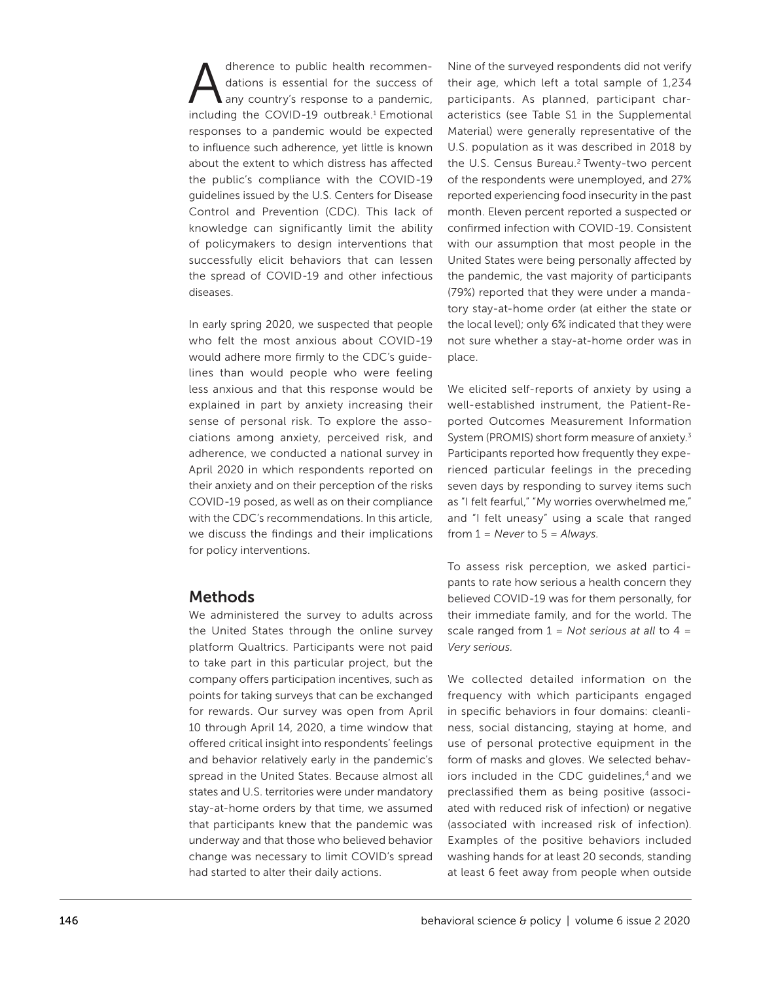dherence to public health recommendations is essential for the success of any country's response to a pandemic, including the COVID-19 outbreak.<sup>1</sup> Emotional responses to a pandemic would be expected to influence such adherence, yet little is known about the extent to which distress has affected the public's compliance with the COVID-19 guidelines issued by the U.S. Centers for Disease Control and Prevention (CDC). This lack of knowledge can significantly limit the ability of policymakers to design interventions that successfully elicit behaviors that can lessen the spread of COVID-19 and other infectious diseases.

In early spring 2020, we suspected that people who felt the most anxious about COVID-19 would adhere more firmly to the CDC's guidelines than would people who were feeling less anxious and that this response would be explained in part by anxiety increasing their sense of personal risk. To explore the associations among anxiety, perceived risk, and adherence, we conducted a national survey in April 2020 in which respondents reported on their anxiety and on their perception of the risks COVID-19 posed, as well as on their compliance with the CDC's recommendations. In this article, we discuss the findings and their implications for policy interventions.

#### Methods

We administered the survey to adults across the United States through the online survey platform Qualtrics. Participants were not paid to take part in this particular project, but the company offers participation incentives, such as points for taking surveys that can be exchanged for rewards. Our survey was open from April 10 through April 14, 2020, a time window that offered critical insight into respondents' feelings and behavior relatively early in the pandemic's spread in the United States. Because almost all states and U.S. territories were under mandatory stay-at-home orders by that time, we assumed that participants knew that the pandemic was underway and that those who believed behavior change was necessary to limit COVID's spread had started to alter their daily actions.

Nine of the surveyed respondents did not verify their age, which left a total sample of 1,234 participants. As planned, participant characteristics (see Table S1 in the Supplemental Material) were generally representative of the U.S. population as it was described in 2018 by the U.S. Census Bureau.<sup>2</sup> Twenty-two percent of the respondents were unemployed, and 27% reported experiencing food insecurity in the past month. Eleven percent reported a suspected or confirmed infection with COVID-19. Consistent with our assumption that most people in the United States were being personally affected by the pandemic, the vast majority of participants (79%) reported that they were under a mandatory stay-at-home order (at either the state or the local level); only 6% indicated that they were not sure whether a stay-at-home order was in place.

We elicited self-reports of anxiety by using a well-established instrument, the Patient-Reported Outcomes Measurement Information System (PROMIS) short form measure of anxiety.3 Participants reported how frequently they experienced particular feelings in the preceding seven days by responding to survey items such as "I felt fearful," "My worries overwhelmed me," and "I felt uneasy" using a scale that ranged from 1 = *Never* to 5 = *Always.*

To assess risk perception, we asked participants to rate how serious a health concern they believed COVID-19 was for them personally, for their immediate family, and for the world. The scale ranged from 1 = *Not serious at all* to 4 = *Very serious.*

We collected detailed information on the frequency with which participants engaged in specific behaviors in four domains: cleanliness, social distancing, staying at home, and use of personal protective equipment in the form of masks and gloves. We selected behaviors included in the CDC guidelines,<sup>4</sup> and we preclassified them as being positive (associated with reduced risk of infection) or negative (associated with increased risk of infection). Examples of the positive behaviors included washing hands for at least 20 seconds, standing at least 6 feet away from people when outside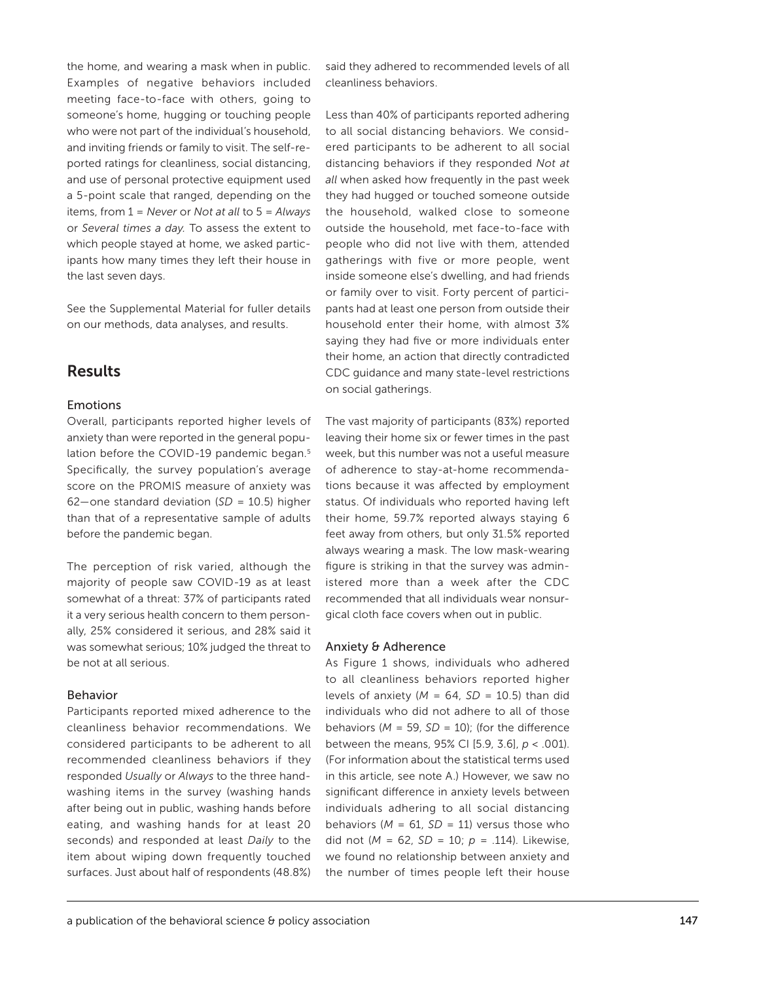the home, and wearing a mask when in public. Examples of negative behaviors included meeting face-to-face with others, going to someone's home, hugging or touching people who were not part of the individual's household, and inviting friends or family to visit. The self-reported ratings for cleanliness, social distancing, and use of personal protective equipment used a 5-point scale that ranged, depending on the items, from 1 = *Never* or *Not at all* to 5 = *Always*  or *Several times a day.* To assess the extent to which people stayed at home, we asked participants how many times they left their house in the last seven days.

See the Supplemental Material for fuller details on our methods, data analyses, and results.

#### Results

#### Emotions

Overall, participants reported higher levels of anxiety than were reported in the general population before the COVID-19 pandemic began.<sup>5</sup> Specifically, the survey population's average score on the PROMIS measure of anxiety was 62—one standard deviation (*SD* = 10.5) higher than that of a representative sample of adults before the pandemic began.

The perception of risk varied, although the majority of people saw COVID-19 as at least somewhat of a threat: 37% of participants rated it a very serious health concern to them personally, 25% considered it serious, and 28% said it was somewhat serious; 10% judged the threat to be not at all serious.

#### Behavior

Participants reported mixed adherence to the cleanliness behavior recommendations. We considered participants to be adherent to all recommended cleanliness behaviors if they responded *Usually* or *Always* to the three handwashing items in the survey (washing hands after being out in public, washing hands before eating, and washing hands for at least 20 seconds) and responded at least *Daily* to the item about wiping down frequently touched surfaces. Just about half of respondents (48.8%)

said they adhered to recommended levels of all *c*leanliness behaviors.

Less than 40% of participants reported adhering to all social distancing behaviors. We considered participants to be adherent to all social distancing behaviors if they responded *Not at all* when asked how frequently in the past week they had hugged or touched someone outside the household, walked close to someone outside the household, met face-to-face with people who did not live with them, attended gatherings with five or more people, went inside someone else's dwelling, and had friends or family over to visit. Forty percent of participants had at least one person from outside their household enter their home, with almost 3% saying they had five or more individuals enter their home, an action that directly contradicted CDC guidance and many state-level restrictions on social gatherings.

The vast majority of participants (83%) reported leaving their home six or fewer times in the past week, but this number was not a useful measure of adherence to stay-at-home recommendations because it was affected by employment status. Of individuals who reported having left their home, 59.7% reported always staying 6 feet away from others, but only 31.5% reported always wearing a mask. The low mask-wearing figure is striking in that the survey was administered more than a week after the CDC recommended that all individuals wear nonsurgical cloth face covers when out in public.

#### Anxiety & Adherence

As Figure 1 shows, individuals who adhered to all cleanliness behaviors reported higher levels of anxiety ( $M = 64$ ,  $SD = 10.5$ ) than did individuals who did not adhere to all of those behaviors ( $M = 59$ ,  $SD = 10$ ); (for the difference between the means, 95% CI [5.9, 3.6], *p* < .001). (For information about the statistical terms used in this article, see note A.) However, we saw no significant difference in anxiety levels between individuals adhering to all social distancing behaviors ( $M = 61$ ,  $SD = 11$ ) versus those who did not (*M* = 62, *SD* = 10; *p* = .114). Likewise, we found no relationship between anxiety and the number of times people left their house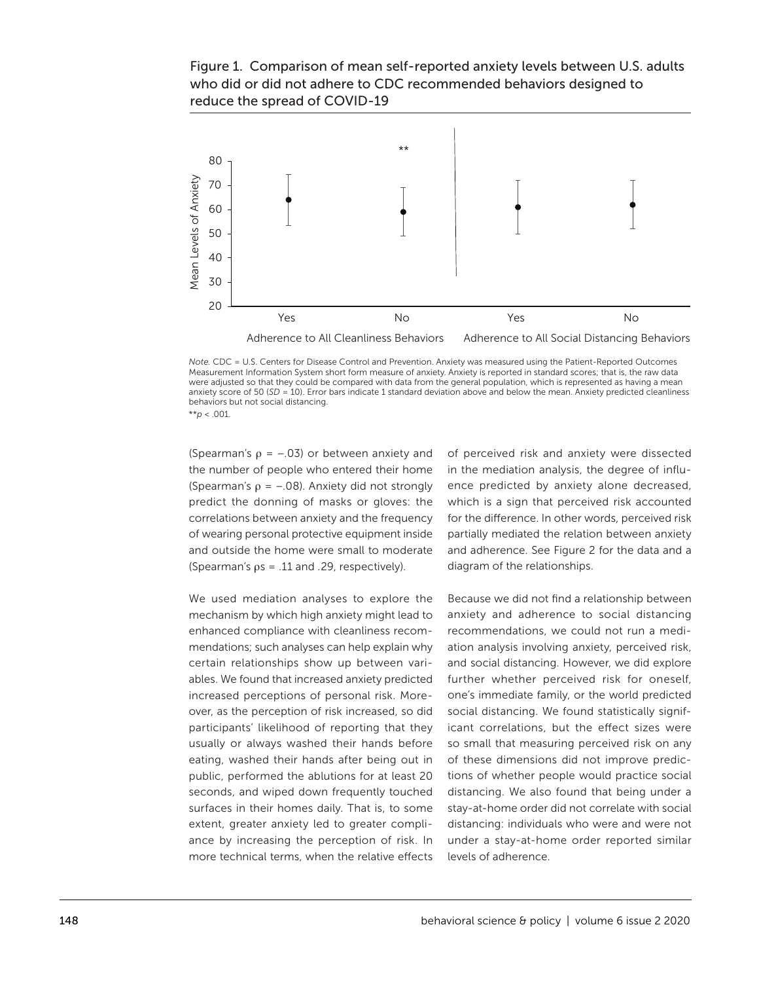#### Figure 1. Comparison of mean self-reported anxiety levels between U.S. adults who did or did not adhere to CDC recommended behaviors designed to reduce the spread of COVID-19



*Note.* CDC = U.S. Centers for Disease Control and Prevention. Anxiety was measured using the Patient-Reported Outcomes Measurement Information System short form measure of anxiety. Anxiety is reported in standard scores; that is, the raw data were adjusted so that they could be compared with data from the general population, which is represented as having a mean anxiety score of 50 (*SD* = 10). Error bars indicate 1 standard deviation above and below the mean. Anxiety predicted cleanliness behaviors but not social distancing.

\*\**p* < .001.

(Spearman's  $\rho = -.03$ ) or between anxiety and the number of people who entered their home (Spearman's  $\rho = -.08$ ). Anxiety did not strongly predict the donning of masks or gloves: the correlations between anxiety and the frequency of wearing personal protective equipment inside and outside the home were small to moderate (Spearman's  $\rho s = .11$  and .29, respectively).

We used mediation analyses to explore the mechanism by which high anxiety might lead to enhanced compliance with cleanliness recommendations; such analyses can help explain why certain relationships show up between variables. We found that increased anxiety predicted increased perceptions of personal risk. Moreover, as the perception of risk increased, so did participants' likelihood of reporting that they usually or always washed their hands before eating, washed their hands after being out in public, performed the ablutions for at least 20 seconds, and wiped down frequently touched surfaces in their homes daily. That is, to some extent, greater anxiety led to greater compliance by increasing the perception of risk. In more technical terms, when the relative effects of perceived risk and anxiety were dissected in the mediation analysis, the degree of influence predicted by anxiety alone decreased, which is a sign that perceived risk accounted for the difference. In other words, perceived risk partially mediated the relation between anxiety and adherence. See Figure 2 for the data and a diagram of the relationships.

Because we did not find a relationship between anxiety and adherence to social distancing recommendations, we could not run a mediation analysis involving anxiety, perceived risk, and social distancing. However, we did explore further whether perceived risk for oneself, one's immediate family, or the world predicted social distancing. We found statistically significant correlations, but the effect sizes were so small that measuring perceived risk on any of these dimensions did not improve predictions of whether people would practice social distancing. We also found that being under a stay-at-home order did not correlate with social distancing: individuals who were and were not under a stay-at-home order reported similar levels of adherence.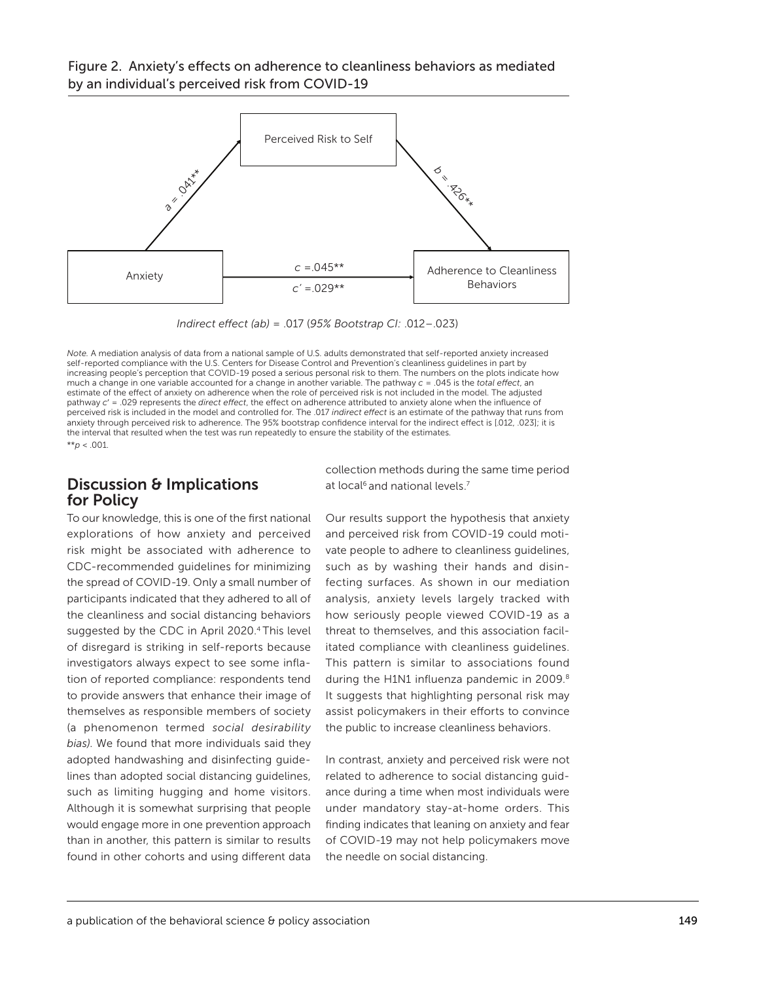#### Figure 2. Anxiety's effects on adherence to cleanliness behaviors as mediated by an individual's perceived risk from COVID-19



*Indirect effect (ab)* = .017 (95% Bootstrap CI: .012-.023)

*Note.* A mediation analysis of data from a national sample of U.S. adults demonstrated that self-reported anxiety increased self-reported compliance with the U.S. Centers for Disease Control and Prevention's cleanliness guidelines in part by increasing people's perception that COVID-19 posed a serious personal risk to them. The numbers on the plots indicate how much a change in one variable accounted for a change in another variable. The pathway  $c = 0.045$  is the *total effect*, an estimate of the effect of anxiety on adherence when the role of perceived risk is not included in the model. The adjusted pathway  $c' = .029$  represents the *direct effect*, the effect on adherence attributed to anxiety alone when the influence of perceived risk is included in the model and controlled for. The .017 *indirect effect* is an estimate of the pathway that runs from anxiety through perceived risk to adherence. The 95% bootstrap confidence interval for the indirect effect is [.012, .023]; it is the interval that resulted when the test was run repeatedly to ensure the stability of the estimates. \*\**p* < .001.

#### Discussion & Implications for Policy

To our knowledge, this is one of the first national explorations of how anxiety and perceived risk might be associated with adherence to CDC-recommended guidelines for minimizing the spread of COVID-19. Only a small number of participants indicated that they adhered to all of the cleanliness and social distancing behaviors suggested by the CDC in April 2020.4 This level of disregard is striking in self-reports because investigators always expect to see some inflation of reported compliance: respondents tend to provide answers that enhance their image of themselves as responsible members of society (a phenomenon termed *social desirability bias)*. We found that more individuals said they adopted handwashing and disinfecting guidelines than adopted social distancing guidelines, such as limiting hugging and home visitors. Although it is somewhat surprising that people would engage more in one prevention approach than in another, this pattern is similar to results found in other cohorts and using different data

collection methods during the same time period at local<sup>6</sup> and national levels.<sup>7</sup>

Our results support the hypothesis that anxiety and perceived risk from COVID-19 could motivate people to adhere to cleanliness guidelines, such as by washing their hands and disinfecting surfaces. As shown in our mediation analysis, anxiety levels largely tracked with how seriously people viewed COVID-19 as a threat to themselves, and this association facilitated compliance with cleanliness guidelines. This pattern is similar to associations found during the H1N1 influenza pandemic in 2009.<sup>8</sup> It suggests that highlighting personal risk may assist policymakers in their efforts to convince the public to increase cleanliness behaviors.

In contrast, anxiety and perceived risk were not related to adherence to social distancing guidance during a time when most individuals were under mandatory stay-at-home orders. This finding indicates that leaning on anxiety and fear of COVID-19 may not help policymakers move the needle on social distancing.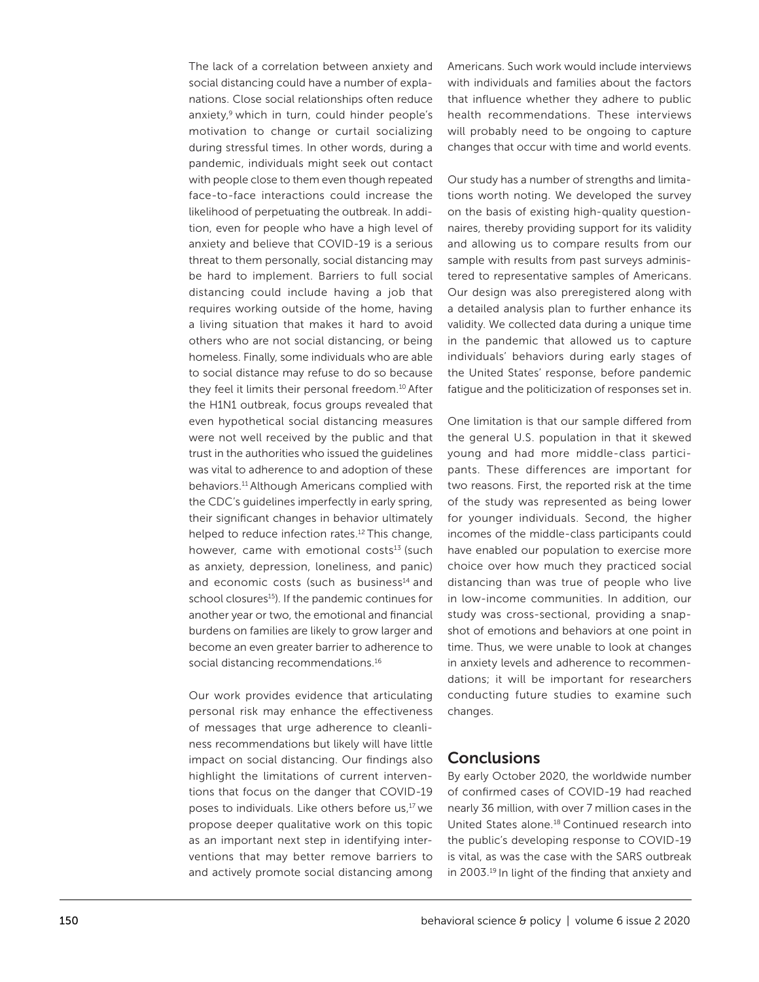The lack of a correlation between anxiety and social distancing could have a number of explanations. Close social relationships often reduce anxiety,<sup>9</sup> which in turn, could hinder people's motivation to change or curtail socializing during stressful times. In other words, during a pandemic, individuals might seek out contact with people close to them even though repeated face-to-face interactions could increase the likelihood of perpetuating the outbreak. In addition, even for people who have a high level of anxiety and believe that COVID-19 is a serious threat to them personally, social distancing may be hard to implement. Barriers to full social distancing could include having a job that requires working outside of the home, having a living situation that makes it hard to avoid others who are not social distancing, or being homeless. Finally, some individuals who are able to social distance may refuse to do so because they feel it limits their personal freedom.<sup>10</sup> After the H1N1 outbreak, focus groups revealed that even hypothetical social distancing measures were not well received by the public and that trust in the authorities who issued the guidelines was vital to adherence to and adoption of these behaviors.11 Although Americans complied with the CDC's guidelines imperfectly in early spring, their significant changes in behavior ultimately helped to reduce infection rates.<sup>12</sup> This change, however, came with emotional costs $13$  (such as anxiety, depression, loneliness, and panic) and economic costs (such as business<sup>14</sup> and school closures<sup>15</sup>). If the pandemic continues for another year or two, the emotional and financial burdens on families are likely to grow larger and become an even greater barrier to adherence to social distancing recommendations.<sup>16</sup>

Our work provides evidence that articulating personal risk may enhance the effectiveness of messages that urge adherence to cleanliness recommendations but likely will have little impact on social distancing. Our findings also highlight the limitations of current interventions that focus on the danger that COVID-19 poses to individuals. Like others before us,17 we propose deeper qualitative work on this topic as an important next step in identifying interventions that may better remove barriers to and actively promote social distancing among

Americans. Such work would include interviews with individuals and families about the factors that influence whether they adhere to public health recommendations. These interviews will probably need to be ongoing to capture changes that occur with time and world events.

Our study has a number of strengths and limitations worth noting. We developed the survey on the basis of existing high-quality questionnaires, thereby providing support for its validity and allowing us to compare results from our sample with results from past surveys administered to representative samples of Americans. Our design was also preregistered along with a detailed analysis plan to further enhance its validity. We collected data during a unique time in the pandemic that allowed us to capture individuals' behaviors during early stages of the United States' response, before pandemic fatigue and the politicization of responses set in.

One limitation is that our sample differed from the general U.S. population in that it skewed young and had more middle-class participants. These differences are important for two reasons. First, the reported risk at the time of the study was represented as being lower for younger individuals. Second, the higher incomes of the middle-class participants could have enabled our population to exercise more choice over how much they practiced social distancing than was true of people who live in low-income communities. In addition, our study was cross-sectional, providing a snapshot of emotions and behaviors at one point in time. Thus, we were unable to look at changes in anxiety levels and adherence to recommendations; it will be important for researchers conducting future studies to examine such changes.

#### **Conclusions**

By early October 2020, the worldwide number of confirmed cases of COVID-19 had reached nearly 36 million, with over 7 million cases in the United States alone.18 Continued research into the public's developing response to COVID-19 is vital, as was the case with the SARS outbreak in 2003.19 In light of the finding that anxiety and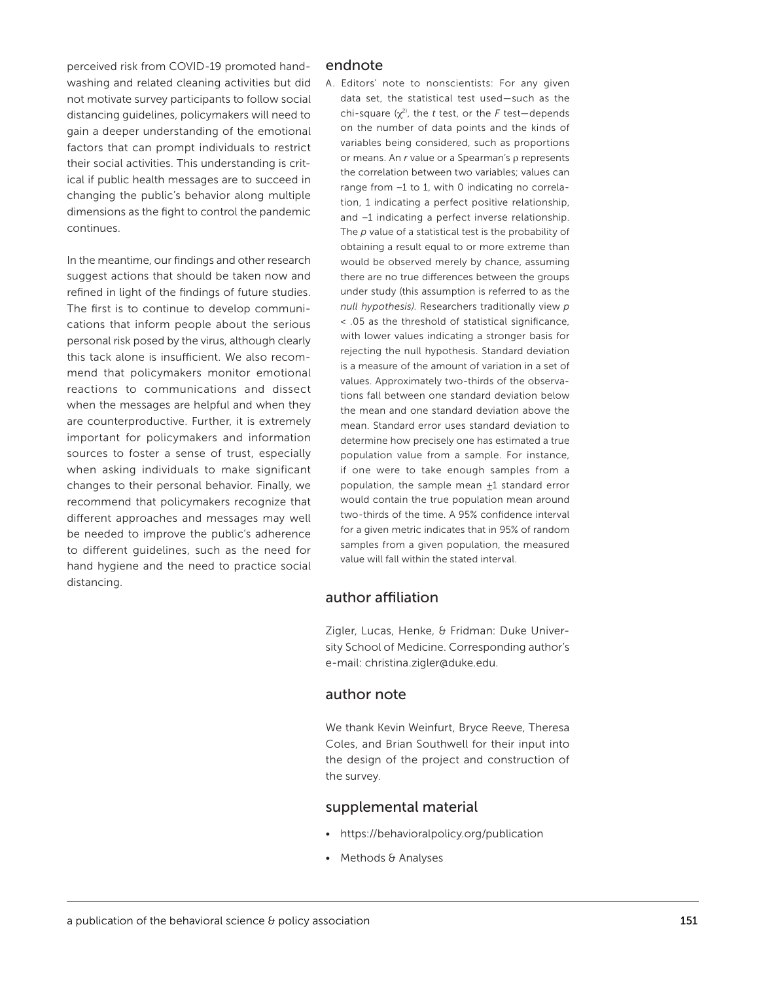perceived risk from COVID-19 promoted handwashing and related cleaning activities but did not motivate survey participants to follow social distancing guidelines, policymakers will need to gain a deeper understanding of the emotional factors that can prompt individuals to restrict their social activities. This understanding is critical if public health messages are to succeed in changing the public's behavior along multiple dimensions as the fight to control the pandemic continues.

In the meantime, our findings and other research suggest actions that should be taken now and refined in light of the findings of future studies. The first is to continue to develop communications that inform people about the serious personal risk posed by the virus, although clearly this tack alone is insufficient. We also recommend that policymakers monitor emotional reactions to communications and dissect when the messages are helpful and when they are counterproductive. Further, it is extremely important for policymakers and information sources to foster a sense of trust, especially when asking individuals to make significant changes to their personal behavior. Finally, we recommend that policymakers recognize that different approaches and messages may well be needed to improve the public's adherence to different guidelines, such as the need for hand hygiene and the need to practice social distancing.

#### endnote

A. Editors' note to nonscientists: For any given data set, the statistical test used—such as the chi-square (χ2), the *t* test, or the *F* test—depends on the number of data points and the kinds of variables being considered, such as proportions or means. An *r* value or a Spearman's ρ represents the correlation between two variables; values can range from −1 to 1, with 0 indicating no correlation, 1 indicating a perfect positive relationship, and −1 indicating a perfect inverse relationship. The *p* value of a statistical test is the probability of obtaining a result equal to or more extreme than would be observed merely by chance, assuming there are no true differences between the groups under study (this assumption is referred to as the *null hypothesis)*. Researchers traditionally view *p*  < .05 as the threshold of statistical significance, with lower values indicating a stronger basis for rejecting the null hypothesis. Standard deviation is a measure of the amount of variation in a set of values. Approximately two-thirds of the observations fall between one standard deviation below the mean and one standard deviation above the mean. Standard error uses standard deviation to determine how precisely one has estimated a true population value from a sample. For instance, if one were to take enough samples from a population, the sample mean +1 standard error would contain the true population mean around two-thirds of the time. A 95% confidence interval for a given metric indicates that in 95% of random samples from a given population, the measured value will fall within the stated interval.

#### author affiliation

Zigler, Lucas, Henke, & Fridman: Duke University School of Medicine. Corresponding author's e-mail: christina.zigler@duke.edu.

#### author note

We thank Kevin Weinfurt, Bryce Reeve, Theresa Coles, and Brian Southwell for their input into the design of the project and construction of the survey.

#### supplemental material

- https://behavioralpolicy.org/publication
- Methods & Analyses